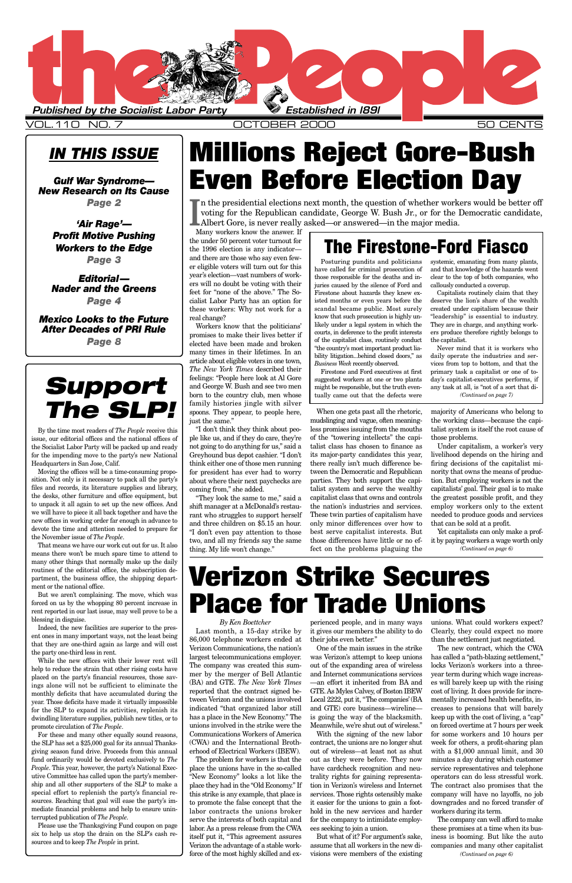### *IN THIS ISSUE*

*Gulf War Syndrome— New Research on Its Cause Page 2*

> *'Air Rage'— Profit Motive Pushing Workers to the Edge Page 3*

*Editorial— Nader and the Greens Page 4*

*Mexico Looks to the Future After Decades of PRI Rule Page 8*

> *By Ken Boettcher* 86,000 telephone workers ended at their jobs even better." Verizon Communications, the nation's largest telecommunications employer. The company was created this summer by the merger of Bell Atlantic (BA) and GTE. *The New York Times* reported that the contract signed between Verizon and the unions involved indicated "that organized labor still has a place in the New Economy." The unions involved in the strike were the Communications Workers of America (CWA) and the International Brotherhood of Electrical Workers (IBEW). The problem for workers is that the place the unions have in the so-called "New Economy" looks a lot like the place they had in the "Old Economy." If this strike is any example, that place is to promote the false concept that the labor contracts the unions broker serve the interests of both capital and labor. As a press release from the CWA itself put it, "This agreement assures Verizon the advantage of a stable workforce of the most highly skilled and ex-

Last month, a 15-day strike by it gives our members the ability to do Clearly, they could expect no more perienced people, and in many ways unions. What could workers expect?

One of the main issues in the strike was Verizon's attempt to keep unions out of the expanding area of wireless and Internet communications services —an effort it inherited from BA and GTE. As Myles Calvey, of Boston IBEW Local 2222, put it, "The companies'(BA and GTE) core business—wireline is going the way of the blacksmith. Meanwhile, we're shut out of wireless."

With the signing of the new labor contract, the unions are no longer shut out of wireless—at least not as shut out as they were before. They now have cardcheck recognition and neutrality rights for gaining representation in Verizon's wireless and Internet services. Those rights ostensibly make it easier for the unions to gain a foothold in the new services and harder for the company to intimidate employees seeking to join a union.

But what of it? For argument's sake, assume that all workers in the new divisions were members of the existing than the settlement just negotiated.

The new contract, which the CWA has called a "path-blazing settlement," locks Verizon's workers into a threeyear term during which wage increases will barely keep up with the rising cost of living. It does provide for incrementally increased health benefits, increases to pensions that will barely keep up with the cost of living, a "cap" on forced overtime at 7 hours per week for some workers and 10 hours per week for others, a profit-sharing plan with a \$1,000 annual limit, and 30 minutes a day during which customer service representatives and telephone operators can do less stressful work. The contract also promises that the company will have no layoffs, no job downgrades and no forced transfer of workers during its term.



VOL.110 NO. 7 OCTOBER 2000 50 CENTS

Many workers know the answer. If the under 50 percent voter turnout for the 1996 election is any indicator and there are those who say even fewer eligible voters will turn out for this year's election—vast numbers of workers will no doubt be voting with their feet for "none of the above." The Socialist Labor Party has an option for these workers: Why not work for a real change?

Workers know that the politicians' promises to make their lives better if elected have been made and broken many times in their lifetimes. In an article about eligible voters in one town, *The New York Times* described their feelings: "People here look at Al Gore and George W. Bush and see two men born to the country club, men whose family histories jingle with silver spoons. They appear, to people here, just the same."

"I don't think they think about people like us, and if they do care, they're not going to do anything for us," said a Greyhound bus depot cashier. "I don't think either one of those men running for president has ever had to worry about where their next paychecks are coming from," she added.

voting for the Republican candidate, George W. Bush Jr., or for the labert Gore, is never really asked—or answered—in the major media. n the presidential elections next month, the question of whether workers would be better off voting for the Republican candidate, George W. Bush Jr., or for the Democratic candidate,

"They look the same to me," said a shift manager at a McDonald's restaurant who struggles to support herself and three children on \$5.15 an hour. "I don't even pay attention to those two, and all my friends say the same thing. My life won't change."

When one gets past all the rhetoric, mudslinging and vague, often meaningless promises issuing from the mouths of the "towering intellects" the capitalist class has chosen to finance as its major-party candidates this year, there really isn't much difference between the Democratic and Republican parties. They both support the capitalist system and serve the wealthy capitalist class that owns and controls the nation's industries and services. These twin parties of capitalism have only minor differences over how to best serve capitalist interests. But those differences have little or no effect on the problems plaguing the

majority of Americans who belong to the working class—because the capitalist system is itself the root cause of those problems.

Under capitalism, a worker's very livelihood depends on the hiring and firing decisions of the capitalist minority that owns the means of production. But employing workers is not the capitalists'goal. Their goal is to make the greatest possible profit, and they employ workers only to the extent needed to produce goods and services that can be sold at a profit.

The company can well afford to make these promises at a time when its business is booming. But like the auto companies and many other capitalist *(Continued on page 6)*

By the time most readers of *The People* receive this issue, our editorial offices and the national offices of the Socialist Labor Party will be packed up and ready for the impending move to the party's new National Headquarters in San Jose, Calif.

Moving the offices will be a time-consuming proposition. Not only is it necessary to pack all the party's files and records, its literature supplies and library, the desks, other furniture and office equipment, but to unpack it all again to set up the new offices. And we will have to piece it all back together and have the new offices in working order far enough in advance to devote the time and attention needed to prepare for the November issue of *The People*.

That means we have our work cut out for us. It also means there won't be much spare time to attend to many other things that normally make up the daily routines of the editorial office, the subscription department, the business office, the shipping department or the national office.

But we aren't complaining. The move, which was forced on us by the whopping 80 percent increase in rent reported in our last issue, may well prove to be a blessing in disguise.

Indeed, the new facilities are superior to the present ones in many important ways, not the least being that they are one-third again as large and will cost

Yet capitalists can only make a profit by paying workers a wage worth only *(Continued on page 6)*

the party one-third less in rent.

While the new offices with their lower rent will help to reduce the strain that other rising costs have placed on the party's financial resources, those savings alone will not be sufficient to eliminate the monthly deficits that have accumulated during the year. Those deficits have made it virtually impossible for the SLP to expand its activities, replenish its dwindling literature supplies, publish new titles, or to promote circulation of *The People*.

For these and many other equally sound reasons, the SLP has set a \$25,000 goal for its annual Thanksgiving season fund drive. Proceeds from this annual fund ordinarily would be devoted exclusively to *The People*. This year, however, the party's National Executive Committee has called upon the party's membership and all other supporters of the SLP to make a special effort to replenish the party's financial resources. Reaching that goal will ease the party's immediate financial problems and help to ensure uninterrupted publication of *The People*.

Please use the Thanksgiving Fund coupon on page six to help us stop the drain on the SLP's cash resources and to keep *The People* in print.

# **Millions Reject Gore-Bush Even Before Election Day**

# **Verizon Strike Secures Place for Trade Unions**

Posturing pundits and politicians have called for criminal prosecution of those responsible for the deaths and injuries caused by the silence of Ford and Firestone about hazards they knew existed months or even years before the scandal became public. Most surely know that such prosecution is highly unlikely under a legal system in which the courts, in deference to the profit interests of the capitalist class, routinely conduct "the country's most important product liability litigation...behind closed doors," as *Business Week* recently observed.

Firestone and Ford executives at first suggested workers at one or two plants might be responsible, but the truth eventually came out that the defects were

systemic, emanating from many plants, and that knowledge of the hazards went clear to the top of both companies, who callously conducted a coverup.

Capitalists routinely claim that they deserve the lion's share of the wealth created under capitalism because their "leadership" is essential to industry. They are in charge, and anything workers produce therefore rightly belongs to the capitalist.

Never mind that it is workers who daily operate the industries and services from top to bottom, and that the primary task a capitalist or one of today's capitalist-executives performs, if any task at all, is "not of a sort that di-

## **The Firestone-Ford Fiasco**

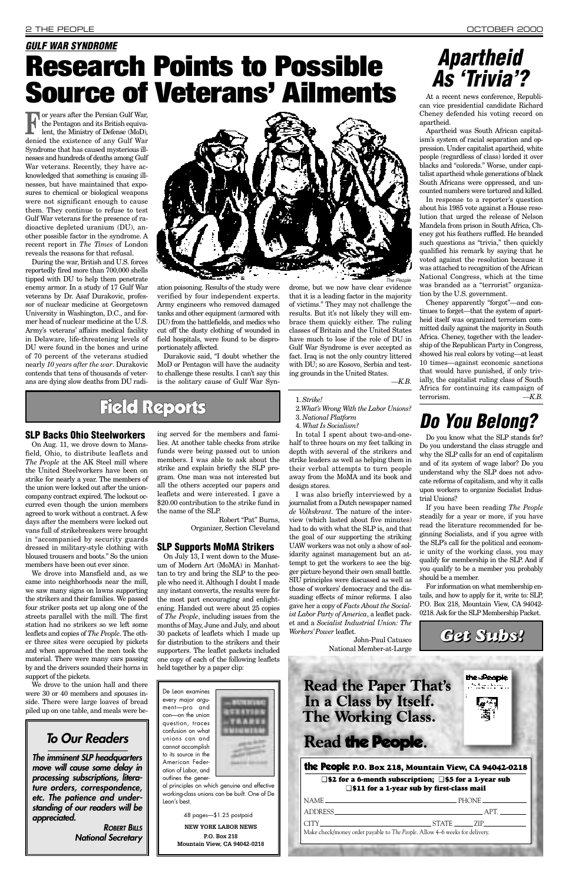### **SLP Backs Ohio Steelworkers**

On Aug. 11, we drove down to Mansfield, Ohio, to distribute leaflets and *The People* at the AK Steel mill where the United Steelworkers have been on strike for nearly a year. The members of the union were locked out after the unioncompany contract expired. The lockout occurred even though the union members agreed to work without a contract. A few days after the members were locked out vans full of strikebreakers were brought in "accompanied by security guards dressed in military-style clothing with bloused trousers and boots." So the union members have been out ever since.

We drove to the union hall and there were 30 or 40 members and spouses inside. There were large loaves of bread piled up on one table, and meals were be-

We drove into Mansfield and, as we came into neighborhoods near the mill, we saw many signs on lawns supporting the strikers and their families. We passed four striker posts set up along one of the streets parallel with the mill. The first station had no strikers so we left some leaflets and copies of *The People*. The other three sites were occupied by pickets and when approached the men took the material. There were many cars passing by and the drivers sounded their horns in support of the pickets.

ing served for the members and families. At another table checks from strike funds were being passed out to union members. I was able to ask about the strike and explain briefly the SLP program. One man was not interested but all the others accepted our papers and leaflets and were interested. I gave a \$20.00 contribution to the strike fund in the name of the SLP.

> Robert "Pat" Burns, Organizer, Section Cleveland

### **SLP Supports MoMA Strikers**

**For years after the Persian Gulf War,** the Pentagon and its British equivalent, the Ministry of Defense (MoD), denied the existence of any Gulf War Syndrome that has caused mysterious illnesses and hundreds of deaths among Gulf War veterans. Recently, they have acknowledged that something is causing illnesses, but have maintained that exposures to chemical or biological weapons were not significant enough to cause them. They continue to refuse to test Gulf War veterans for the presence of radioactive depleted uranium (DU), another possible factor in the syndrome. A recent report in *The Times* of London reveals the reasons for that refusal.

> On July 13, I went down to the Museum of Modern Art (MoMA) in Manhattan to try and bring the SLP to the people who need it. Although I doubt I made any instant converts, the results were for the most part encouraging and enlightening. Handed out were about 25 copies of *The People*, including issues from the months of May, June and July, and about 30 packets of leaflets which I made up for distribution to the strikers and their supporters. The leaflet packets included one copy of each of the following leaflets held together by a paper clip:

1. *Strike!*

- 2.*What's Wrong With the Labor Unions?*
- 3. *National Platform*
- 4. *What Is Socialism?*

In total I spent about two-and-onehalf to three hours on my feet talking in depth with several of the strikers and strike leaders as well as helping them in their verbal attempts to turn people away from the MoMA and its book and design stores.

I was also briefly interviewed by a journalist from a Dutch newspaper named *de Volkskrant*. The nature of the interview (which lasted about five minutes) had to do with what the SLP is, and that the goal of our supporting the striking UAW workers was not only a show of solidarity against management but an attempt to get the workers to see the bigger picture beyond their own small battle. SIU principles were discussed as well as those of workers'democracy and the dissuading effects of minor reforms. I also gave her a copy of *Facts About the Socialist Labor Party of America*, a leaflet packet and a *Socialist Industrial Union: The Workers' Power* leaflet.

John-Paul Catusco National Member-at-Large

the People **Read the Paper That's** *Pilandin* In a Class by Itself. **The Working Class.** Read the People. the People **P.O. Box 218, Mountain View, CA 94042-0218** ❑ **\$2 for a 6-month subscription;** ❑ **\$5 for a 1-year sub** ❑ **\$11 for a 1-year sub by first-class mail**  $NAME$  PHONE ADDRESS APT.  $CITY$   $STATE$   $ZIP$ Make check/money order payable to *The People*. Allow 4–6 weeks for delivery.

During the war, British and U.S. forces reportedly fired more than 700,000 shells tipped with DU to help them penetrate enemy armor. In a study of 17 Gulf War veterans by Dr. Asaf Durakovic, professor of nuclear medicine at Georgetown University in Washington, D.C., and former head of nuclear medicine at the U.S. Army's veterans' affairs medical facility in Delaware, life-threatening levels of DU were found in the bones and urine of 70 percent of the veterans studied nearly *10 years after the war*. Durakovic contends that tens of thousands of veterans are dying slow deaths from DU radi-



ation poisoning. Results of the study were verified by four independent experts. Army engineers who removed damaged tanks and other equipment (armored with DU) from the battlefields, and medics who cut off the dusty clothing of wounded in field hospitals, were found to be disproportionately affected.

Durakovic said, "I doubt whether the MoD or Pentagon will have the audacity to challenge these results. I can't say this is the solitary cause of Gulf War Syn-

# *GULF WAR SYNDROME* **Research Points to Possible Source of Veterans' Ailments**

# *Apartheid As 'Trivia'?*

At a recent news conference, Republican vice presidential candidate Richard Cheney defended his voting record on apartheid.

Apartheid was South African capitalism's system of racial separation and oppression. Under capitalist apartheid, white people (regardless of class) lorded it over blacks and "coloreds." Worse, under capitalist apartheid whole generations of black South Africans were oppressed, and uncounted numbers were tortured and killed.

In response to a reporter's question about his 1985 vote against a House resolution that urged the release of Nelson Mandela from prison in South Africa, Cheney got his feathers ruffled. He branded such questions as "trivia," then quickly qualified his remark by saying that he voted against the resolution because it was attached to recognition of the African National Congress, which at the time was branded as a "terrorist" organization by the U.S. government.

drome, but we now have clear evidence that it is a leading factor in the majority of victims." They may not challenge the results. But it's not likely they will embrace them quickly either. The ruling classes of Britain and the United States have much to lose if the role of DU in Gulf War Syndrome is ever accepted as fact. Iraq is not the only country littered with DU; so are Kosovo, Serbia and testing grounds in the United States. *—K.B.* The People

Cheney apparently "forgot"—and continues to forget—that the system of apartheid itself was organized terrorism committed daily against the majority in South Africa. Cheney, together with the leadership of the Republican Party in Congress, showed his real colors by voting—at least 10 times—against economic sanctions that would have punished, if only trivially, the capitalist ruling class of South Africa for continuing its campaign of terrorism. *—K.B.*

## *Do You Belong?*

Do you know what the SLP stands for? Do you understand the class struggle and why the SLP calls for an end of capitalism and of its system of wage labor? Do you understand why the SLP does not advocate reforms of capitalism, and why it calls upon workers to organize Socialist Industrial Unions?

If you have been reading *The People* steadily for a year or more, if you have read the literature recommended for beginning Socialists, and if you agree with the SLP's call for the political and economic unity of the working class, you may qualify for membership in the SLP. And if you qualify to be a member you probably should be a member.

For information on what membership entails, and how to apply for it, write to: SLP, P.O. Box 218, Mountain View, CA 94042- 0218. Ask for the SLP Membership Packet.

*Get Subs!*

## Field Reports

*To Our Readers*

*The imminent SLP headquarters move will cause some delay in processing subscriptions, literature orders, correspondence, etc. The patience and understanding of our readers will be appreciated.*

*ROBERT BILLS National Secretary*

De Leon examines every major argument—pro and **ETESTIES** con—on the union **TARTIS** question, traces confusion on what unions can and cannot accomplish to its source in the American Federation of Labor, and outlines the general principles on which genuine and effective working-class unions can be built. One of De Leon's best. 48 pages—\$1.25 postpaid **NEW YORK LABOR NEWS**

**P.O. Box 218 Mountain View, CA 94042-0218**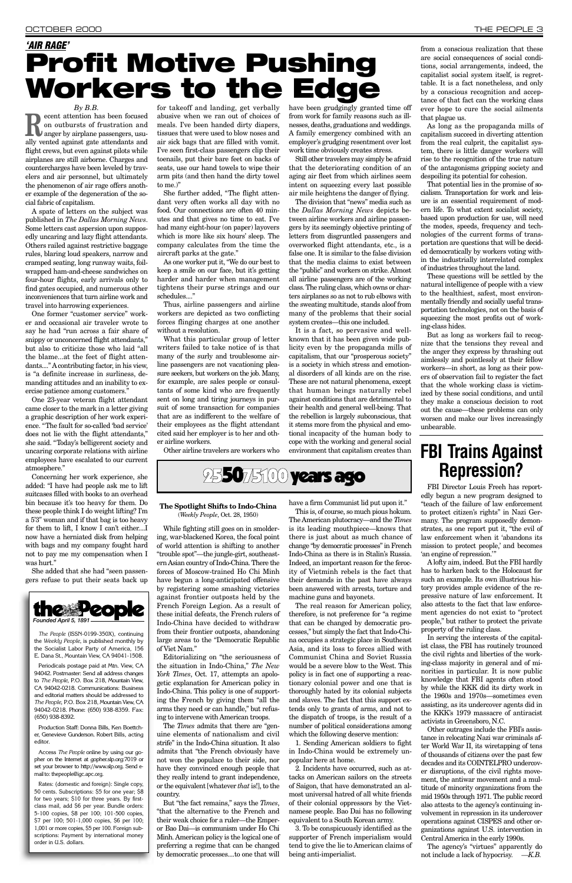*By B.B.* **Recent attention has been focused**<br>on outbursts of frustration and<br>anger by airplane passengers, usuon outbursts of frustration and ally vented against gate attendants and flight crews, but even against pilots while airplanes are still airborne. Charges and countercharges have been leveled by travelers and air personnel, but ultimately the phenomenon of air rage offers another example of the degeneration of the social fabric of capitalism.

A spate of letters on the subject was published in *The Dallas Morning News*. Some letters cast aspersion upon supposedly uncaring and lazy flight attendants. Others railed against restrictive baggage rules, blaring loud speakers, narrow and cramped seating, long runway waits, foilwrapped ham-and-cheese sandwiches on four-hour flights, early arrivals only to find gates occupied, and numerous other inconveniences that turn airline work and travel into harrowing experiences.

Concerning her work experience, she added: "I have had people ask me to lift suitcases filled with books to an overhead bin because it's too heavy for them. Do these people think I do weight lifting? I'm a 5'3" woman and if that bag is too heavy for them to lift, I know I can't either....I now have a herniated disk from helping with bags and my company fought hard not to pay me my compensation when I was hurt."

One former "customer service" worker and occasional air traveler wrote to say he had "run across a fair share of snippy or unconcerned flight attendants," but also to criticize those who laid "all the blame...at the feet of flight attendants...." A contributing factor, in his view, is "a definite increase in surliness, demanding attitudes and an inability to exercise patience among customers."

One 23-year veteran flight attendant came closer to the mark in a letter giving a graphic description of her work experience. "The fault for so-called 'bad service' does not lie with the flight attendants," she said. "Today's belligerent society and uncaring corporate relations with airline employees have escalated to our current atmosphere."

She added that she had "seen passengers refuse to put their seats back up for takeoff and landing, get verbally abusive when we ran out of choices of meals. I've been handed dirty diapers, tissues that were used to blow noses and air sick bags that are filled with vomit. I've seen first-class passengers clip their toenails, put their bare feet on backs of seats, use our hand towels to wipe their arm pits (and then hand the dirty towel to me.)"

She further added, "The flight attendant very often works all day with no food. Our connections are often 40 minutes and that gives no time to eat. I've had many eight-hour (on paper) layovers which is more like six hours'sleep. The company calculates from the time the aircraft parks at the gate."

As one worker put it, "We do our best to keep a smile on our face, but it's getting harder and harder when management tightens their purse strings and our schedules...."

Thus, airline passengers and airline workers are depicted as two conflicting forces flinging charges at one another without a resolution.

What this particular group of letter writers failed to take notice of is that many of the surly and troublesome airline passengers are not vacationing pleasure seekers, but workers on the job. Many, for example, are sales people or consultants of some kind who are frequently sent on long and tiring journeys in pursuit of some transaction for companies that are as indifferent to the welfare of their employees as the flight attendant cited said her employer is to her and other airline workers.

*The People* (ISSN-0199-350X), continuing the *Weekly People*, is published monthly by arty of Amer

Other airline travelers are workers who

have been grudgingly granted time off from work for family reasons such as illnesses, deaths, graduations and weddings. A family emergency combined with an employer's grudging resentment over lost work time obviously creates stress.

Still other travelers may simply be afraid that the deteriorating condition of an aging air fleet from which airlines seem intent on squeezing every last possible air mile heightens the danger of flying.

The division that "news" media such as the *Dallas Morning News* depicts between airline workers and airline passengers by its seemingly objective printing of letters from disgruntled passengers and overworked flight attendants, etc., is a false one. It is similar to the false division that the media claims to exist between the "public" and workers on strike. Almost all airline passengers are of the working class. The ruling class, which owns or charters airplanes so as not to rub elbows with the sweating multitude, stands aloof from many of the problems that their social system creates—this one included.

It is a fact, so pervasive and wellknown that it has been given wide publicity even by the propaganda mills of capitalism, that our "prosperous society" is a society in which stress and emotional disorders of all kinds are on the rise. These are not natural phenomena, except that human beings naturally rebel against conditions that are detrimental to their health and general well-being. That the rebellion is largely subconscious, that it stems more from the physical and emotional incapacity of the human body to cope with the working and general social environment that capitalism creates than

### from a conscious realization that these are social consequences of social conditions, social arrangements, indeed, the capitalist social system itself, is regrettable. It is a fact nonetheless, and only by a conscious recognition and acceptance of that fact can the working class ever hope to cure the social ailments

that plague us. As long as the propaganda mills of capitalism succeed in diverting attention from the real culprit, the capitalist system, there is little danger workers will rise to the recognition of the true nature of the antagonisms gripping society and despoiling its potential for cohesion.

That potential lies in the promise of socialism. Transportation for work and leisure is an essential requirement of modern life. To what extent socialist society, based upon production for use, will need the modes, speeds, frequency and technologies of the current forms of transportation are questions that will be decided democratically by workers voting within the industrially interrelated complex of industries throughout the land.

These questions will be settled by the natural intelligence of people with a view to the healthiest, safest, most environmentally friendly and socially useful transportation technologies, not on the basis of squeezing the most profits out of working-class hides.

# **FBI Trains Against 255075100 years ago Repression?**

But as long as workers fail to recognize that the tensions they reveal and the anger they express by thrashing out aimlessly and pointlessly at their fellow workers—in short, as long as their powers of observation fail to register the fact that the whole working class is victimized by these social conditions, and until they make a conscious decision to root out the cause—these problems can only worsen and make our lives increasingly unbearable.



E. Dana St., Mountain View, CA 94041-1508.

Periodicals postage paid at Mtn. View, CA 94042. Postmaster: Send all address changes to *The People*, P.O. Box 218, Mountain View, CA 94042-0218. Communications: Business and editorial matters should be addressed to *The People*, P.O. Box 218, Mountain View, CA 94042-0218. Phone: (650) 938-8359. Fax: (650) 938-8392.

Production Staff: Donna Bills, Ken Boettcher, Genevieve Gunderson. Robert Bills, acting editor.

Access *The People* online by using our gopher on the Internet at gopher.slp.org:7019 or set your browser to http://www.slp.org. Send email to: thepeople@igc.apc.org.

Rates: (domestic and foreign): Single copy, 50 cents. Subscriptions: \$5 for one year; \$8 for two years; \$10 for three years. By firstclass mail, add \$6 per year. Bundle orders: 5-100 copies, \$8 per 100; 101-500 copies, \$7 per 100; 501-1,000 copies, \$6 per 100; 1,001 or more copies, \$5 per 100. Foreign subscriptions: Payment by international money order in U.S. dollars.

### **The Spotlight Shifts to Indo-China**

(*Weekly People*, Oct. 28, 1950)

While fighting still goes on in smoldering, war-blackened Korea, the focal point of world attention is shifting to another "trouble spot"—the jungle-girt, southeastern Asian country of Indo-China. There the forces of Moscow-trained Ho Chi Minh have begun a long-anticipated offensive by registering some smashing victories against frontier outposts held by the French Foreign Legion. As a result of these initial defeats, the French rulers of Indo-China have decided to withdraw from their frontier outposts, abandoning large areas to the "Democratic Republic

of Viet Nam."

Editorializing on "the seriousness of the situation in Indo-China," *The New York Times*, Oct. 17, attempts an apologetic explanation for American policy in Indo-China. This policy is one of supporting the French by giving them "all the arms they need or can handle," but refusing to intervene with American troops.

The *Times* admits that there are "genuine elements of nationalism and civil strife" in the Indo-China situation. It also admits that "the French obviously have not won the populace to their side, nor have they convinced enough people that they really intend to grant independence, or the equivalent [whatever *that* is!], to the country.

But "the fact remains," says the *Times*, "that the alternative to the French and their weak choice for a ruler—the Emperor Bao Dai—is communism under Ho Chi Minh. American policy is the logical one of preferring a regime that can be changed by democratic processes....to one that will

have a firm Communist lid put upon it."

This is, of course, so much pious hokum. The American plutocracy—and the *Times* is its leading mouthpiece—knows that there is just about as much chance of change "by democratic processes" in French Indo-China as there is in Stalin's Russia. Indeed, an important reason for the ferocity of Vietminh rebels is the fact that their demands in the past have always been answered with arrests, torture and machine guns and bayonets.

The real reason for American policy, therefore, is not preference for "a regime that can be changed by democratic processes," but simply the fact that Indo-China occupies a strategic place in Southeast Asia, and its loss to forces allied with Communist China and Soviet Russia would be a severe blow to the West. This policy is in fact one of supporting a reactionary colonial power and one that is thoroughly hated by its colonial subjects and slaves. The fact that this support extends only to grants of arms, and not to the dispatch of troops, is the result of a number of political considerations among which the following deserve mention: 1. Sending American soldiers to fight in Indo-China would be extremely unpopular here at home. 2. Incidents have occurred, such as attacks on American sailors on the streets of Saigon, that have demonstrated an almost universal hatred of all white friends of their colonial oppressors by the Vietnamese people. Bao Dai has no following equivalent to a South Korean army. 3. To be conspicuously identified as the supporter of French imperialism would tend to give the lie to American claims of being anti-imperialist.

## *'AIR RAGE'* **Profit Motive Pushing Workers to the Edge**

FBI Director Louis Freeh has reportedly begun a new program designed to "teach of the failure of law enforcement to protect citizen's rights" in Nazi Germany. The program supposedly demonstrates, as one report put it, "the evil of law enforcement when it 'abandons its mission to protect people,'and becomes 'an engine of repression.'"

Alofty aim, indeed. But the FBI hardly has to harken back to the Holocaust for such an example. Its own illustrious history provides ample evidence of the repressive nature of law enforcement. It also attests to the fact that law enforcement agencies do not exist to "protect people," but rather to protect the private property of the ruling class.

In serving the interests of the capitalist class, the FBI has routinely trounced the civil rights and liberties of the working-class majority in general and of minorities in particular. It is now public knowledge that FBI agents often stood by while the KKK did its dirty work in the 1960s and 1970s—sometimes even assisting, as its undercover agents did in the KKK's 1979 massacre of antiracist activists in Greensboro, N.C. Other outrages include the FBI's assistance in relocating Nazi war criminals after World War II, its wiretapping of tens of thousands of citizens over the past few decades and its COINTELPRO undercover disruptions, of the civil rights movement, the antiwar movement and a multitude of minority organizations from the mid 1950s through 1971. The public record also attests to the agency's continuing involvement in repression in its undercover operations against CISPES and other organizations against U.S. intervention in Central America in the early 1990s. The agency's "virtues" apparently do

not include a lack of hypocrisy. *—K.B.*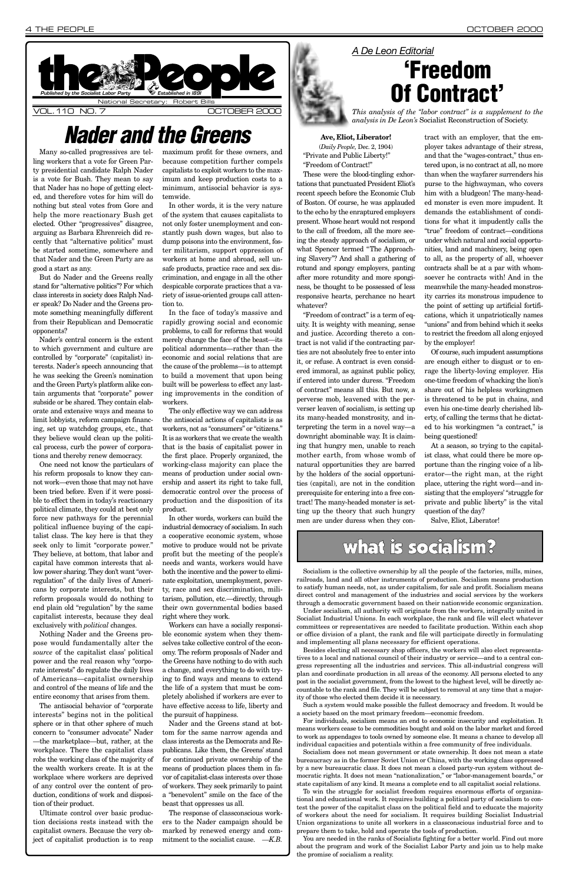Many so-called progressives are telling workers that a vote for Green Party presidential candidate Ralph Nader is a vote for Bush. They mean to say that Nader has no hope of getting elected, and therefore votes for him will do nothing but steal votes from Gore and help the more reactionary Bush get elected. Other "progressives" disagree, arguing as Barbara Ehrenreich did recently that "alternative politics" must be started sometime, somewhere and that Nader and the Green Party are as good a start as any.

But do Nader and the Greens really stand for "alternative politics"? For which class interests in society does Ralph Nader speak? Do Nader and the Greens promote something meaningfully different from their Republican and Democratic opponents?

Nader's central concern is the extent to which government and culture are controlled by "corporate" (capitalist) interests. Nader's speech announcing that he was seeking the Green's nomination and the Green Party's platform alike contain arguments that "corporate" power subside or be shared. They contain elaborate and extensive ways and means to limit lobbyists, reform campaign financing, set up watchdog groups, etc., that they believe would clean up the political process, curb the power of corporations and thereby renew democracy.

One need not know the particulars of his reform proposals to know they cannot work—even those that may not have been tried before. Even if it were possible to effect them in today's reactionary political climate, they could at best only force new pathways for the perennial political influence buying of the capitalist class. The key here is that they seek only to limit "corporate power." They believe, at bottom, that labor and capital have common interests that allow power sharing. They don't want "overregulation" of the daily lives of Americans by corporate interests, but their reform proposals would do nothing to end plain old "regulation" by the same capitalist interests, because they deal exclusively with *political* changes.

Nothing Nader and the Greens propose would fundamentally alter the *source* of the capitalist class'political power and the real reason why "corporate interests" do regulate the daily lives of Americans—capitalist ownership and control of the means of life and the entire economy that arises from them. The antisocial behavior of "corporate interests" begins not in the political sphere or in that other sphere of much concern to "consumer advocate" Nader —the marketplace—but, rather, at the workplace. There the capitalist class robs the working class of the majority of the wealth workers create. It is at the workplace where workers are deprived of any control over the content of production, conditions of work and disposition of their product. Ultimate control over basic production decisions rests instead with the capitalist owners. Because the very object of capitalist production is to reap

maximum profit for these owners, and because competition further compels capitalists to exploit workers to the maximum and keep production costs to a minimum, antisocial behavior is systemwide.

In other words, it is the very nature of the system that causes capitalists to not only foster unemployment and constantly push down wages, but also to dump poisons into the environment, foster militarism, support oppression of workers at home and abroad, sell unsafe products, practice race and sex discrimination, and engage in all the other despicable corporate practices that a variety of issue-oriented groups call attention to.

In the face of today's massive and rapidly growing social and economic problems, to call for reforms that would merely change the face of the beast—its political adornments—rather than the economic and social relations that are the cause of the problems—is to attempt to build a movement that upon being built will be powerless to effect any lasting improvements in the condition of workers.

The only effective way we can address the antisocial actions of capitalists is as workers, not as "consumers" or "citizens." It is as workers that we create the wealth that is the basis of capitalist power in the first place. Properly organized, the working-class majority can place the means of production under social ownership and assert its right to take full, democratic control over the process of production and the disposition of its product.



In other words, workers can build the industrial democracy of socialism. In such a cooperative economic system, whose motive to produce would not be private profit but the meeting of the people's needs and wants, workers would have both the incentive and the power to eliminate exploitation, unemployment, poverty, race and sex discrimination, militarism, pollution, etc.—directly, through their own governmental bodies based right where they work.

Workers can have a socially responsible economic system when they themselves take collective control of the economy. The reform proposals of Nader and the Greens have nothing to do with such a change, and everything to do with trying to find ways and means to extend the life of a system that must be completely abolished if workers are ever to have effective access to life, liberty and the pursuit of happiness. Nader and the Greens stand at bottom for the same narrow agenda and class interests as the Democrats and Republicans. Like them, the Greens'stand for continued private ownership of the means of production places them in favor of capitalist-class interests over those of workers. They seek primarily to paint a "benevolent" smile on the face of the beast that oppresses us all. The response of classconscious workers to the Nader campaign should be marked by renewed energy and commitment to the socialist cause. *—K.B.*

**Ave, Eliot, Liberator!** (*Daily People,* Dec. 2, 1904) "Private and Public Liberty!" "Freedom of Contract!"

These were the blood-tingling exhortations that punctuated President Eliot's recent speech before the Economic Club of Boston. Of course, he was applauded to the echo by the enraptured employers present. Whose heart would not respond to the call of freedom, all the more seeing the steady approach of socialism, or what Spencer termed "The Approaching Slavery"? And shall a gathering of rotund and spongy employers, panting after more rotundity and more sponginess, be thought to be possessed of less responsive hearts, perchance no heart whatever?

"Freedom of contract" is a term of equity. It is weighty with meaning, sense and justice. According thereto a contract is not valid if the contracting parties are not absolutely free to enter into it, or refuse. A contract is even considered immoral, as against public policy, if entered into under duress. "Freedom of contract" means all this. But now, a perverse mob, leavened with the perverser leaven of socialism, is setting up its many-headed monstrosity, and interpreting the term in a novel way—a downright abominable way. It is claiming that hungry men, unable to reach mother earth, from whose womb of natural opportunities they are barred by the holders of the social opportunities (capital), are not in the condition prerequisite for entering into a free contract! The many-headed monster is setting up the theory that such hungry men are under duress when they contract with an employer, that the employer takes advantage of their stress, and that the "wages-contract," thus entered upon, is no contract at all, no more than when the wayfarer surrenders his purse to the highwayman, who covers him with a bludgeon! The many-headed monster is even more impudent. It demands the establishment of conditions for what it impudently calls the "true" freedom of contract—conditions under which natural and social opportunities, land and machinery, being open to all, as the property of all, whoever contracts shall be at a par with whomsoever he contracts with! And in the meanwhile the many-headed monstrosity carries its monstrous impudence to the point of setting up artificial fortifications, which it unpatriotically names "unions" and from behind which it seeks to restrict the freedom all along enjoyed by the employer!

Of course, such impudent assumptions are enough either to disgust or to enrage the liberty-loving employer. His one-time freedom of whacking the lion's share out of his helpless workingmen is threatened to be put in chains, and even his one-time dearly cherished liberty, of calling the terms that he dictated to his workingmen "a contract," is being questioned!

At a season, so trying to the capitalist class, what could there be more opportune than the ringing voice of a liberator—the right man, at the right place, uttering the right word—and insisting that the employers'"struggle for private and public liberty" is the vital question of the day?

Salve, Eliot, Liberator!

## what is socialism?

# *Nader and the Greens*

# *A De Leon Editorial* **'Freedom Of Contract'**

*This analysis of the "labor contract" is a supplement to the analysis in De Leon's* Socialist Reconstruction of Society.

Socialism is the collective ownership by all the people of the factories, mills, mines, railroads, land and all other instruments of production. Socialism means production to satisfy human needs, not, as under capitalism, for sale and profit. Socialism means direct control and management of the industries and social services by the workers through a democratic government based on their nationwide economic organization.

Under socialism, all authority will originate from the workers, integrally united in Socialist Industrial Unions. In each workplace, the rank and file will elect whatever committees or representatives are needed to facilitate production. Within each shop or office division of a plant, the rank and file will participate directly in formulating and implementing all plans necessary for efficient operations.

Besides electing all necessary shop officers, the workers will also elect representatives to a local and national council of their industry or service—and to a central congress representing all the industries and services. This all-industrial congress will plan and coordinate production in all areas of the economy. All persons elected to any post in the socialist government, from the lowest to the highest level, will be directly accountable to the rank and file. They will be subject to removal at any time that a majority of those who elected them decide it is necessary.

Such a system would make possible the fullest democracy and freedom. It would be a society based on the most primary freedom—economic freedom.

For individuals, socialism means an end to economic insecurity and exploitation. It means workers cease to be commodities bought and sold on the labor market and forced to work as appendages to tools owned by someone else. It means a chance to develop all individual capacities and potentials within a free community of free individuals.

Socialism does not mean government or state ownership. It does not mean a state bureaucracy as in the former Soviet Union or China, with the working class oppressed by a new bureaucratic class. It does not mean a closed party-run system without democratic rights. It does not mean "nationalization," or "labor-management boards," or state capitalism of any kind. It means a complete end to all capitalist social relations.

To win the struggle for socialist freedom requires enormous efforts of organizational and educational work. It requires building a political party of socialism to contest the power of the capitalist class on the political field and to educate the majority of workers about the need for socialism. It requires building Socialist Industrial Union organizations to unite all workers in a classconscious industrial force and to prepare them to take, hold and operate the tools of production.

You are needed in the ranks of Socialists fighting for a better world. Find out more about the program and work of the Socialist Labor Party and join us to help make the promise of socialism a reality.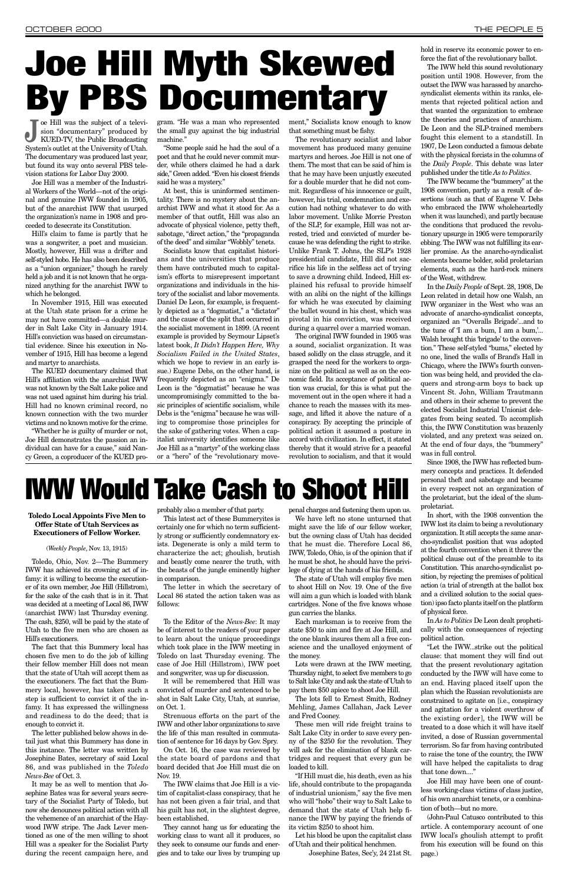**J** oe Hill was the subject of a television "documentary" produced by KUED-TV, the Public Broadcasting sion "documentary" produced by System's outlet at the University of Utah. The documentary was produced last year, but found its way onto several PBS television stations for Labor Day 2000.

Joe Hill was a member of the Industrial Workers of the World—not of the original and genuine IWW founded in 1905, but of the anarchist IWW that usurped the organization's name in 1908 and proceeded to desecrate its Constitution.

Hill's claim to fame is partly that he was a songwriter, a poet and musician. Mostly, however, Hill was a drifter and self-styled hobo. He has also been described as a "union organizer," though he rarely held a job and it is not known that he organized anything for the anarchist IWW to which he belonged.

gram. "He was a man who represented the small guy against the big industrial machine."

In November 1915, Hill was executed at the Utah state prison for a crime he may not have committed—a double murder in Salt Lake City in January 1914. Hill's conviction was based on circumstantial evidence. Since his execution in November of 1915, Hill has become a legend and martyr to anarchists.

The KUED documentary claimed that Hill's affiliation with the anarchist IWW was not known by the Salt Lake police and was not used against him during his trial. Hill had no known criminal record, no known connection with the two murder victims and no known motive for the crime.

"Whether he is guilty of murder or not, Joe Hill demonstrates the passion an individual can have for a cause," said Nancy Green, a coproducer of the KUED pro-

"Some people said he had the soul of a poet and that he could never commit murder, while others claimed he had a dark side," Green added. "Even his closest friends said he was a mystery."

At best, this is uninformed sentimentality. There is no mystery about the anarchist IWW and what it stood for. As a member of that outfit, Hill was also an advocate of physical violence, petty theft, sabotage, "direct action," the "propaganda of the deed" and similar "Wobbly" tenets.

Socialists know that capitalist historians and the universities that produce them have contributed much to capitalism's efforts to misrepresent important organizations and individuals in the history of the socialist and labor movements. Daniel De Leon, for example, is frequently depicted as a "dogmatist," a "dictator" and the cause of the split that occurred in the socialist movement in 1899. (A recent example is provided by Seymour Lipset's latest book, *It Didn't Happen Here, Why Socialism Failed in the United States*, which we hope to review in an early issue.) Eugene Debs, on the other hand, is frequently depicted as an "enigma." De Leon is the "dogmatist" because he was uncompromisingly committed to the basic principles of scientific socialism, while Debs is the "enigma" because he was willing to compromise those principles for the sake of gathering votes. When a capitalist university identifies someone like Joe Hill as a "martyr" of the working class or a "hero" of the "revolutionary move-

ment," Socialists know enough to know that something must be fishy.

The revolutionary socialist and labor movement has produced many genuine martyrs and heroes. Joe Hill is not one of them. The most that can be said of him is that he may have been unjustly executed for a double murder that he did not commit. Regardless of his innocence or guilt, however, his trial, condemnation and execution had nothing whatever to do with labor movement. Unlike Morrie Preston of the SLP, for example, Hill was not arrested, tried and convicted of murder because he was defending the right to strike. Unlike Frank T. Johns, the SLP's 1928 presidential candidate, Hill did not sacrifice his life in the selfless act of trying to save a drowning child. Indeed, Hill explained his refusal to provide himself with an alibi on the night of the killings for which he was executed by claiming the bullet wound in his chest, which was pivotal in his conviction, was received during a quarrel over a married woman.

The original IWW founded in 1905 was a sound, socialist organization. It was based solidly on the class struggle, and it grasped the need for the workers to organize on the political as well as on the economic field. Its acceptance of political action was crucial, for this is what put the movement out in the open where it had a chance to reach the masses with its message, and lifted it above the nature of a conspiracy. By accepting the principle of political action it assumed a posture in accord with civilization. In effect, it stated thereby that it would strive for a peaceful revolution to socialism, and that it would

hold in reserve its economic power to en-

force the fiat of the revolutionary ballot. The IWW held this sound revolutionary position until 1908. However, from the outset the IWW was harassed by anarchosyndicalist elements within its ranks, elements that rejected political action and that wanted the organization to embrace the theories and practices of anarchism. De Leon and the SLP-trained members fought this element to a standstill. In 1907, De Leon conducted a famous debate with the physical forcists in the columns of

the *Daily People*. This debate was later

published under the title *As to Politics*. The IWW became the "bummery" at the 1908 convention, partly as a result of desertions (such as that of Eugene V. Debs who embraced the IWW wholeheartedly when it was launched), and partly because the conditions that produced the revolutionary upsurge in 1905 were temporarily ebbing. The IWW was not fulfilling its earlier promise. As the anarcho-syndicalist elements became bolder, solid proletarian elements, such as the hard-rock miners of the West, withdrew.

In the *Daily People* of Sept. 28, 1908, De Leon related in detail how one Walsh, an IWW organizer in the West who was an advocate of anarcho-syndicalist concepts, organized an "'Overalls Brigade'...and to the tune of 'I am a bum, I am a bum,'... Walsh brought this 'brigade'to the convention." These self-styled "bums," elected by no one, lined the walls of Brand's Hall in Chicago, where the IWW's fourth convention was being held, and provided the claquers and strong-arm boys to back up Vincent St. John, William Trautmann and others in their scheme to prevent the elected Socialist Industrial Unionist delegates from being seated. To accomplish this, the IWW Constitution was brazenly violated, and any pretext was seized on. At the end of four days, the "bummery" was in full control.

Since 1908, the IWW has reflected bummery concepts and practices. It defended personal theft and sabotage and became in every respect not an organization of the proletariat, but the ideal of the slumproletariat.

In short, with the 1908 convention the IWW lost its claim to being a revolutionary organization. It still accepts the same anarcho-syndicalist position that was adopted at the fourth convention when it threw the political clause out of the preamble to its Constitution. This anarcho-syndicalist position, by rejecting the premises of political action (a trial of strength at the ballot box and a civilized solution to the social question) ipso facto plants itself on the platform of physical force.

In *As to Politics* De Leon dealt prophetically with the consequences of rejecting political action.

"Let the IWW...strike out the political clause: that moment they will find out that the present revolutionary agitation conducted by the IWW will have come to an end. Having placed itself upon the plan which the Russian revolutionists are constrained to agitate on [i.e., conspiracy and agitation for a violent overthrow of the existing order], the IWW will be treated to a dose which it will have itself invited, a dose of Russian governmental terrorism. So far from having contributed to raise the tone of the country, the IWW will have helped the capitalists to drag that tone down...."

Joe Hill may have been one of countless working-class victims of class justice, of his own anarchist tenets, or a combination of both—but no more.

(John-Paul Catusco contributed to this article. A contemporary account of one IWW local's ghoulish attempt to profit from his execution will be found on this page.)

# **Joe Hill Myth Skewed By PBS Documentary**

### **Toledo Local Appoints Five Men to Offer State of Utah Services as Executioners of Fellow Worker.**

### (*Weekly People*, Nov. 13, 1915)

Toledo, Ohio, Nov. 2—The Bummery IWW has achieved its crowning act of infamy: it is willing to become the executioner of its own member, Joe Hill (Hillstrom), for the sake of the cash that is in it. That was decided at a meeting of Local 86, IWW (anarchist IWW) last Thursday evening. The cash, \$250, will be paid by the state of Utah to the five men who are chosen as Hill's executioners.

The fact that this Bummery local has

chosen five men to do the job of killing their fellow member Hill does not mean that the state of Utah will accept them as the executioners. The fact that the Bummery local, however, has taken such a step is sufficient to convict it of the infamy. It has expressed the willingness and readiness to do the deed; that is enough to convict it.

The letter published below shows in detail just what this Bummery has done in this instance. The letter was written by Josephine Bates, secretary of said Local 86, and was published in the *Toledo News-Bee* of Oct. 3.

It may be as well to mention that Josephine Bates was for several years secretary of the Socialist Party of Toledo, but now she denounces political action with all the vehemence of an anarchist of the Haywood IWW stripe. The Jack Lever mentioned as one of the men willing to shoot Hill was a speaker for the Socialist Party during the recent campaign here, and probably also a member of that party.

This latest act of these Bummeryites is certainly one for which no term sufficiently strong or sufficiently condemnatory exists. Degenerate is only a mild term to characterize the act; ghoulish, brutish and beastly come nearer the truth, with the beasts of the jungle eminently higher in comparison.

The letter in which the secretary of Local 86 stated the action taken was as follows:

To the Editor of the *News-Bee*: It may be of interest to the readers of your paper to learn about the unique proceedings which took place in the IWW meeting in Toledo on last Thursday evening. The case of Joe Hill (Hillstrom), IWW poet and songwriter, was up for discussion.

It will be remembered that Hill was convicted of murder and sentenced to be shot in Salt Lake City, Utah, at sunrise, on Oct. 1.

Strenuous efforts on the part of the IWW and other labor organizations to save the life of this man resulted in commutation of sentence for 16 days by Gov. Spry. On Oct. 16, the case was reviewed by the state board of pardons and that board decided that Joe Hill must die on Nov. 19.

The IWW claims that Joe Hill is a victim of capitalist-class conspiracy, that he has not been given a fair trial, and that his guilt has not, in the slightest degree, been established.

They cannot hang us for educating the working class to want all it produces, so they seek to consume our funds and energies and to take our lives by trumping up

penal charges and fastening them upon us.

We have left no stone unturned that might save the life of our fellow worker, but the owning class of Utah has decided that he must die. Therefore Local 86, IWW, Toledo, Ohio, is of the opinion that if he must be shot, he should have the privilege of dying at the hands of his friends.

The state of Utah will employ five men to shoot Hill on Nov. 19. One of the five will aim a gun which is loaded with blank cartridges. None of the five knows whose gun carries the blanks.

Each marksman is to receive from the state \$50 to aim and fire at Joe Hill, and the one blank insures them all a free conscience and the unalloyed enjoyment of the money.

Lots were drawn at the IWW meeting, Thursday night, to select five members to go to Salt lake City and ask the state of Utah to pay them \$50 apiece to shoot Joe Hill.

The lots fell to Ernest Smith, Rodney Mehling, James Callahan, Jack Lever and Fred Cooney.

These men will ride freight trains to Salt Lake City in order to save every penny of the \$250 for the revolution. They will ask for the elimination of blank cartridges and request that every gun be loaded to kill.

"If Hill must die, his death, even as his life, should contribute to the propaganda of industrial unionism," say the five men who will "hobo" their way to Salt Lake to demand that the state of Utah help finance the IWW by paying the friends of its victim \$250 to shoot him.

Let his blood be upon the capitalist class of Utah and their political henchmen.

Josephine Bates, Sec'y, 24 21st St.

# **IWW Would Take Cash to Shoot Hill**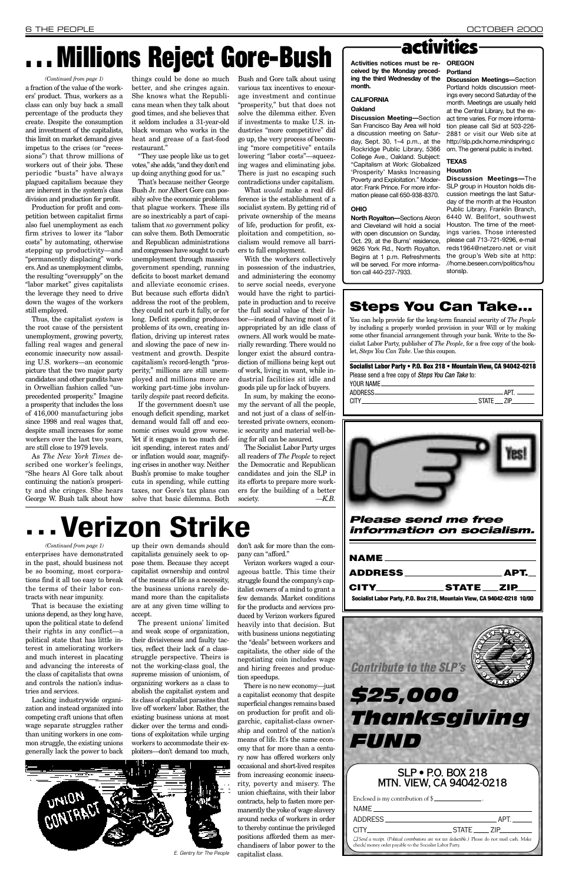*Please send me free information on socialism.*

| CITY STATE ZIP                                                          |
|-------------------------------------------------------------------------|
| Socialist Labor Party, P.O. Box 218, Mountain View, CA 94042-0218 10/00 |

That is because the existing unions depend, as they long have, upon the political state to defend their rights in any conflict—a political state that has little interest in ameliorating workers and much interest in placating and advancing the interests of the class of capitalists that owns and controls the nation's industries and services. Lacking industrywide organization and instead organized into competing craft unions that often wage separate struggles rather than uniting workers in one common struggle, the existing unions generally lack the power to back

up their own demands should capitalists genuinely seek to oppose them. Because they accept capitalist ownership and control of the means of life as a necessity, the business unions rarely demand more than the capitalists are at any given time willing to accept.

The present unions'limited and weak scope of organization, their divisiveness and faulty tactics, reflect their lack of a classstruggle perspective. Theirs is not the working-class goal, the supreme mission of unionism, of organizing workers as a class to abolish the capitalist system and its class of capitalist parasites that live off workers'labor. Rather, the existing business unions at most dicker over the terms and conditions of exploitation while urging

enterprises have demonstrated in the past, should business not be so booming, most corporations find it all too easy to break the terms of their labor contracts with near impunity. *(Continued from page 1)*

> workers to accommodate their exploiters—don't demand too much,

don't ask for more than the company can "afford."

Verizon workers waged a courageous battle. This time their struggle found the company's capitalist owners of a mind to grant a few demands. Market conditions for the products and services produced by Verizon workers figured heavily into that decision. But with business unions negotiating the "deals" between workers and

capitalists, the other side of the negotiating coin includes wage and hiring freezes and production speedups.

There is no new economy—just a capitalist economy that despite superficial changes remains based on production for profit and oligarchic, capitalist-class ownership and control of the nation's means of life. It's the same economy that for more than a century now has offered workers only occasional and short-lived respites from increasing economic insecurity, poverty and misery. The union chieftains, with their labor contracts, help to fasten more permanently the yoke of wage slavery around necks of workers in order to thereby continue the privileged positions afforded them as merchandisers of labor power to the capitalist class.

# **...Verizon Strike**

# **. . . Millions Reject Gore-Bush**

a fraction of the value of the workers'product. Thus, workers as a class can only buy back a small percentage of the products they create. Despite the consumption and investment of the capitalists, this limit on market demand gives impetus to the crises (or "recessions") that throw millions of workers out of their jobs. These periodic "busts" have always plagued capitalism because they are inherent in the system's class division and production for profit.

Production for profit and competition between capitalist firms also fuel unemployment as each firm strives to lower its "labor costs" by automating, otherwise stepping up productivity—and "permanently displacing" workers. And as unemployment climbs, the resulting "oversupply" on the "labor market" gives capitalists the leverage they need to drive down the wages of the workers still employed.

Thus, the capitalist *system* is the root cause of the persistent unemployment, growing poverty, falling real wages and general economic insecurity now assailing U.S. workers—an economic picture that the two major party candidates and other pundits have in Orwellian fashion called "unprecedented prosperity." Imagine a prosperity that includes the loss of 416,000 manufacturing jobs since 1998 and real wages that, despite small increases for some workers over the last two years, are still close to 1979 levels.

As *The New York Times* described one worker's feelings, "She hears Al Gore talk about continuing the nation's prosperity and she cringes. She hears George W. Bush talk about how

things could be done so much better, and she cringes again. She knows what the Republicans mean when they talk about good times, and she believes that it seldom includes a 31-year-old black woman who works in the heat and grease of a fast-food restaurant."

> **Socialist Labor Party • P.O. Box 218 • Mountain View, CA 94042-0218** Please send a free copy of Steps You Can Take to: YOUR NAME\_

"They use people like us to get votes," she adds, "and they don't end up doing anything good for us."

That's because neither George Bush Jr. nor Albert Gore can possibly solve the economic problems that plague workers. These ills are so inextricably a part of capitalism that *no* government policy can solve them. Both Democratic and Republican administrations and congresses have sought to curb unemployment through massive government spending, running deficits to boost market demand and alleviate economic crises. But because such efforts didn't address the root of the problem, they could not curb it fully, or for long. Deficit spending produces problems of its own, creating inflation, driving up interest rates and slowing the pace of new investment and growth. Despite capitalism's record-length "prosperity," millions are still unemployed and millions more are working part-time jobs involuntarily *despite* past record deficits.

If the government doesn't use enough deficit spending, market demand would fall off and economic crises would grow worse. Yet if it engages in too much deficit spending, interest rates and/ or inflation would soar, magnifying crises in another way. Neither Bush's promise to make tougher cuts in spending, while cutting taxes, nor Gore's tax plans can solve that basic dilemma. Both

Bush and Gore talk about using various tax incentives to encourage investment and continue "prosperity," but that does not solve the dilemma either. Even if investments to make U.S. industries "more competitive" did go up, the very process of becoming "more competitive" entails lowering "labor costs"—squeezing wages and eliminating jobs. There is just no escaping such contradictions under capitalism.

What *would* make a real difference is the establishment of a socialist system. By getting rid of private ownership of the means of life, production for profit, exploitation and competition, socialism would remove all barriers to full employment.

With the workers collectively in possession of the industries, and administering the economy to serve social needs, everyone would have the right to participate in production and to receive the full social value of their labor—instead of having most of it appropriated by an idle class of owners. All work would be materially rewarding. There would no longer exist the absurd contradiction of millions being kept out of work, living in want, while industrial facilities sit idle and goods pile up for lack of buyers.

In sum, by making the economy the servant of all the people, and not just of a class of self-interested private owners, economic security and material well-being for all can be assured.

The Socialist Labor Party urges all readers of *The People* to reject the Democratic and Republican candidates and join the SLP in its efforts to prepare more workers for the building of a better society. *—K.B.*

## activities

### **CALIFORNIA Oakland**

**Discussion Meeting—**Section San Francisco Bay Area will hold a discussion meeting on Saturday, Sept. 30, 1–4 p.m., at the Rockridge Public Library, 5366 College Ave., Oakland. Subject: "Capitalism at Work: Globalized 'Prosperity' Masks Increasing Poverty and Exploitation." Moderator: Frank Prince. For more information please call 650-938-8370.

**Activities notices must be received by the Monday preceding the third Wednesday of the month. OREGON Portland**

### **OHIO**

**North Royalton—**Sections Akron and Cleveland will hold a social with open discussion on Sunday, Oct. 29, at the Burns' residence, 9626 York Rd., North Royalton. Begins at 1 p.m. Refreshments will be served. For more information call 440-237-7933.

**Discussion Meetings—**Section Portland holds discussion meetings every second Saturday of the month. Meetings are usually held at the Central Library, but the exact time varies. For more information please call Sid at 503-226- 2881 or visit our Web site at http://slp.pdx.home.mindspring.c om. The general public is invited.

### **TEXAS**

### **Houston**

**Discussion Meetings—**The SLP group in Houston holds discussion meetings the last Saturday of the month at the Houston Public Library, Franklin Branch, 6440 W. Bellfort, southwest Houston. The time of the meetings varies. Those interested please call 713-721-9296, e-mail reds1964@netzero.net or visit the group's Web site at http: //home.beseen.com/politics/hou stonslp.

### **Steps You Can Take...**

You can help provide for the long-term financial security of *The People* by including a properly worded provision in your Will or by making some other financial arrangement through your bank. Write to the Socialist Labor Party, publisher of *The People*, for a free copy of the booklet, *Steps You Can Take*. Use this coupon.





|                                              | <b>Contribute to the SLP's</b>                                                                                                                                     |  |
|----------------------------------------------|--------------------------------------------------------------------------------------------------------------------------------------------------------------------|--|
|                                              |                                                                                                                                                                    |  |
|                                              | <i><b>\$25,000</b></i>                                                                                                                                             |  |
|                                              |                                                                                                                                                                    |  |
|                                              | Thanksgiving                                                                                                                                                       |  |
|                                              |                                                                                                                                                                    |  |
| FUND                                         |                                                                                                                                                                    |  |
|                                              |                                                                                                                                                                    |  |
|                                              |                                                                                                                                                                    |  |
|                                              |                                                                                                                                                                    |  |
|                                              | <b>SLP · P.O. BOX 218</b>                                                                                                                                          |  |
|                                              | MTN. VIEW, CA 94042-0218                                                                                                                                           |  |
| Enclosed is my contribution of $\frac{1}{2}$ |                                                                                                                                                                    |  |
| NAMF <sub>-</sub>                            |                                                                                                                                                                    |  |
| <b>ADDRESS</b>                               | $\_$ APT. $\_$                                                                                                                                                     |  |
| CITY.                                        | STATE ZIP                                                                                                                                                          |  |
|                                              | $\Box$ Send a receipt. (Political contributions are not tax deductible.) Please do not mail cash. Make<br>check/ money order payable to the Socialist Labor Party. |  |

#### *(Continued from page 1)*

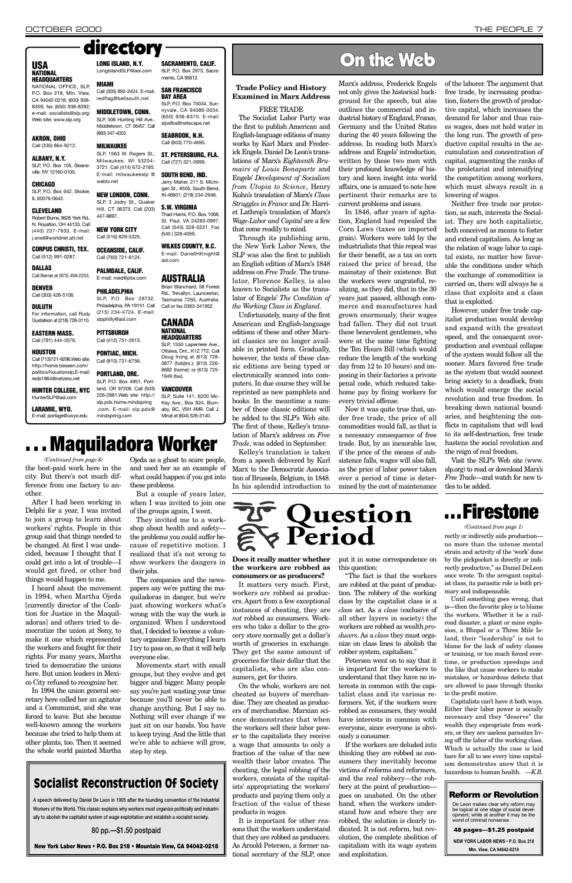**Does it really matter whether the workers are robbed as consumers or as producers?**

It matters very much. First, workers *are* robbed as producers. Apart from a few exceptional instances of cheating, they are *not* robbed as consumers. Workers who take a dollar to the grocery store normally get a dollar's worth of groceries in exchange.

They get the same amount of groceries for their dollar that the capitalists, who are also consumers, get for theirs.

put it in some correspondence on this question:

On the whole, workers are not cheated as buyers of merchandise. They are cheated as producers of merchandise. Marxian science demonstrates that when the workers sell their labor power to the capitalists they receive a wage that amounts to only a fraction of the value of the new wealth their labor creates. The cheating, the legal robbing of the workers, consists of the capitalists'appropriating the workers' products and paying them only a fraction of the value of these products in wages.

It is important for other reasons that the workers understand that they are robbed as producers. As Arnold Petersen, a former national secretary of the SLP, once

"The fact is that the workers are robbed at the point of production. The robbery of the working class by the capitalist class is a *class* act. As a *class* (exclusive of all other layers in society) the workers are robbed as wealth *producers*. As a *class* they must organize on class lines to abolish the

robber system, capitalism."

Petersen went on to say that it is important for the workers to understand that they have no interests in common with the capitalist class and its various reformers. Yet, if the workers were robbed as consumers, they would have interests in common with everyone, since everyone is obviously a consumer.

If the workers are deluded into thinking they are robbed as consumers they inevitably become victims of reforms and reformers, and the real robbery—the robbery at the point of production goes on unabated. On the other hand, when the workers understand how and where they are robbed, the solution is clearly indicated. It is not reform, but revolution, the complete abolition of capitalism with its wage system and exploitation.

### **Reform or Revolution**

De Leon makes clear why reform may<br>be logical at one stage of social development, while at another it may be the<br>worst of criminal nonsense.

48 pages—\$1.25 postpaid

**NEW YORK LABOR NEWS . P.O. Box 218 Mtn. View, CA 94042-0218** 



### **Trade Policy and History Examined in Marx Address**

FREE TRADE

The Socialist Labor Party was the first to publish American and English-language editions of many works by Karl Marx and Frederick Engels. Daniel De Leon's translations of Marx's *Eighteenth Brumaire of Louis Bonaparte* and Engels' *Development of Socialism from Utopia to Science*, Henry Kuhn's translation of Marx's *Class Struggles in France* and Dr. Harriet Lathrop's translation of Marx's *Wage-Labor and Capital* are a few that come readily to mind.

Through its publishing arm, the New York Labor News, the SLP was also the first to publish an English edition of Marx's 1848 address on *Free Trade*. The translator, Florence Kelley, is also known to Socialists as the translator of Engels' *The Condition of the Working Class in England*.

Unfortunately, many of the first American and English-language editions of these and other Marxist classics are no longer available in printed form. Gradually, however, the texts of these classic editions are being typed or electronically scanned into computers. In due course they will be reprinted as new pamphlets and books. In the meantime a number of these classic editions will be added to the SLP's Web site. The first of these, Kelley's translation of Marx's address on *Free Trade*, was added in September.

Kelley's translation is taken from a speech delivered by Karl Marx to the Democratic Association of Brussels, Belgium, in 1848. In his splendid introduction to Marx's address, Frederick Engels not only gives the historical background for the speech, but also outlines the commercial and industrial history of England, France, Germany and the United States during the 40 years following the address. In reading both Marx's address and Engels'introduction, written by these two men with their profound knowledge of history and keen insight into world affairs, one is amazed to note how pertinent their remarks are to current problems and issues.

In 1846, after years of agitation, England had repealed the Corn Laws (taxes on imported grain). Workers were told by the industrialists that this repeal was for their benefit, as a tax on corn raised the price of bread, the mainstay of their existence. But the workers were ungrateful, realizing, as they did, that in the 30 years just passed, although commerce and manufactures had grown enormously, their wages had fallen. They did not trust these benevolent gentlemen, who were at the same time fighting the Ten Hours Bill (which would reduce the length of the working day from 12 to 10 hours) and imposing in their factories a private penal code, which reduced takehome pay by fining workers for every trivial offense.

Now it was quite true that, under free trade, the price of all commodities would fall, as that is a necessary consequence of free trade. But, by an inexorable law, if the price of the means of subsistence falls, wages will also fall, as the price of labor power taken over a period of time is determined by the cost of maintenance of the laborer. The argument that free trade, by increasing production, fosters the growth of productive capital, which increases the demand for labor and thus raises wages, does not hold water in the long run. The growth of productive capital results in the accumulation and concentration of capital, augmenting the ranks of the proletariat and intensifying the competition among workers, which must always result in a lowering of wages.

Neither free trade nor protection, as such, interests the Socialist. They are both capitalistic, both conceived as means to foster and extend capitalism. As long as the relation of wage labor to capital exists, no matter how favorable the conditions under which the exchange of commodities is carried on, there will always be a class that exploits and a class that is exploited.

However, under free trade capitalist production would develop and expand with the greatest speed, and the consequent overproduction and eventual collapse of the system would follow all the sooner. Marx favored free trade as the system that would soonest bring society to a deadlock, from which would emerge the social revolution and true freedom. In breaking down national boundaries, and heightening the conflicts in capitalism that will lead to its self-destruction, free trade hastens the social revolution and the reign of real freedom.

Visit the SLP's Web site (www. slp.org) to read or download Marx's *Free Trad*e—and watch for new ti-

# tles to be added.

### **USA NATIONAL**

**HEADQUARTERS** NATIONAL OFFICE, SLP,

P.O. Box 218, Mtn. View, CA 94042-0218; (650) 938- 8359; fax (650) 938-8392; e-mail: socialists@slp.org; Web site: www.slp.org

### **AKRON, OHIO** Call (330) 864-9212.

**ALBANY, N.Y.**  $SLP$ , P.O. Box 105, Sloansville, NY 12160-0105.

### **CHICAGO**

SLP, P.O. Box 642, Skokie, IL 60076-0642.

#### **CLEVELAND** Robert Burns, 9626 York Rd., N. Royalton, OH 44133. Call (440) 237-7933. E-mail: j.oneil@worldnet.att.net

**CORPUS CHRISTI, TEX.** Call (512) 991-0287.

**DALLAS** Call Bernie at (972) 458-2253.

**DENVER** Call (303) 426-5108.

### **DULUTH**

For information, call Rudy Gustafson at (218) 728-3110.

#### **EASTERN MASS.** Call (781) 444-3576.

### **HOUSTON**

Call (713)721-9296.Web site: http://home.beseen.com/ politics/houstonslp.E-mail: reds1964@netzero.net

**HUNTER COLLEGE, NYC** HunterSLP@aol.com

**LARAMIE, WYO.** E-mail: portage@uwyo.edu

### **MIAMI** Call (305) 892-2424. E-mail:

(860) 347-4003.

#### **MILWAUKEE** SLP, 1563 W. Rogers St.,

Milwaukee, WI 53204- 3721. Call (414) 672-2185. E-mail: milwaukeeslp @ webtv.net

### **NEW LONDON, CONN.**

SLP, 3 Jodry St., Quaker Hill, CT 06375. Call (203) 447-9897. **NEW YORK CITY**

Call (516) 829-5325.

**OCEANSIDE, CALIF.** Call (760) 721-8124.

**PALMDALE, CALIF.** E-mail: med@ptw.com

redflag@bellsouth.net **MIDDLETOWN, CONN. SAN FRANCISCO BAY AREA** SLP, P.O. Box 70034, Sunnyvale, CA 94086-0034.

**PHILADELPHIA** SLP, P.O. Box 28732, Philadelphia, PA 19151. Call

SLP, 506 Hunting Hill Ave., Middletown, CT 06457. Call (650) 938-8370. E-mail: slpsfba@netscape.net **SEABROOK, N.H.**

(215) 234-4724. E-mail:

### slpphilly@aol.com **PITTSBURGH**

Call (412) 751-2613.

### **PONTIAC, MICH.** Call (810) 731-6756.

#### **PORTLAND, ORE.**  $SI$  P.O. Box 4951, Portland, OR 97208. Call (503) 226-2881.Web site: http://

**SACRAMENTO, CALIF.** SLP, P.O. Box 2973, Sacramento, CA 95812.

**LONG ISLAND, N.Y.** LongIslandSLP@aol.com directory

> Call (603) 770-4695. **ST. PETERSBURG, FLA.** Call (727) 321-0999. **SOUTH BEND, IND.** Jerry Maher, 211 S. Michigan St., #505, South Bend, IN 46601; (219) 234-2946.

> **S.W. VIRGINIA** Thad Harris, P.O. Box 1068, St. Paul, VA 24283-0997. Call (540) 328-5531. Fax (540 ) 328-4059.

slp.pdx.home.mindspring .com. E-mail: slp.pdx@ mindspring.com **VANCOUVER** SLP, Suite 141, 6200 Mc-Kay Ave., Box 824, Burnaby, BC, V5H 4M9. Call J. Minal at (604) 526-3140.

**WILKES COUNTY, N.C.** E-mail: DarrellHKnight@

aol.com

**AUSTRALIA** Brian Blanchard, 58 Forest Rd., Trevallyn, Launceston, Tasmania 7250, Australia. Call or fax 0363-341952.

**CANADA NATIONAL HEADQUARTERS** SLP, 1550 Laperriere Ave., Ottawa, Ont., K1Z 7T2. Call Doug Irving at (613) 728- 5877 (hdqtrs.); (613) 226- 6682 (home); or (613) 725-

1949 (fax).

# **. . . Maquiladora Worker**

ference from one factory to another.

After I had been working in Delphi for a year, I was invited to join a group to learn about workers' rights. People in this group said that things needed to be changed. At first I was undecided, because I thought that I could get into a lot of trouble—I would get fired, or other bad things would happen to me.

I heard about the movement in 1994, when Martha Ojeda [currently director of the Coalition for Justice in the Maquiladoras] and others tried to democratize the union at Sony, to make it one which represented the workers and fought for their rights. For many years, Martha tried to democratize the unions here. But union leaders in Mexico City refused to recognize her. In 1994 the union general secretary here called her an agitator and a Communist, and she was forced to leave. But she became well-known among the workers because she tried to help them at other plants, too. Then it seemed the whole world painted Martha

the best-paid work here in the city. But there's not much dif-*(Continued from page 8)*

Ojeda as a ghost to scare people, and used her as an example of what could happen if you got into these problems.

But a couple of years later, when I was invited to join one of the groups again, I went.

They invited me to a workshop about health and safety the problems you could suffer because of repetitive motion. I realized that it's not wrong to show workers the dangers in their jobs.

The companies and the newspapers say we're putting the maquiladoras in danger, but we're just showing workers what's wrong with the way the work is organized. When I understood that, I decided to become a voluntary organizer. Everything I learn I try to pass on, so that it will help everyone else. Movements start with small groups, but they evolve and get bigger and bigger. Many people say you're just wasting your time because you'll never be able to change anything. But I say no. Nothing will ever change if we just sit on our hands. You have to keep trying. And the little that we're able to achieve will grow, step by step.

### Socialist Reconstruction Of Society

**A speech delivered by Daniel De Leon in 1905 after the founding convention of the Industrial Workers of the World. This classic explains why workers must organize politically and industrially to abolish the capitalist system of wage exploitation and establish a socialist society.**

**80 pp.—\$1.50 postpaid**

**New York Labor News • P.O. Box 218 • Mountain View, CA 94042-0218**

rectly or indirectly aids production no more than the intense mental strain and activity of the 'work'done by the pickpocket is directly or indirectly productive," as Daniel DeLeon once wrote. To the arrogant capitalist class, its parasitic role is both primary and indispensable. *(Continued from page 1)*

Until something goes wrong, that is—then the favorite ploy is to blame the workers. Whether it be a railroad disaster, a plant or mine explosion, a Bhopal or a Three Mile Island, their "leadership" is not to blame for the lack of safety classes or training, or too much forced overtime, or production speedups and the like that cause workers to make mistakes, or hazardous defects that are allowed to pass through thanks to the profit motive. Capitalists can't have it both ways. Either their labor power is socially necessary and they "deserve" the wealth they expropriate from workers, or they are useless parasites living off the labor of the working class. Which is actually the case is laid bare for all to see every time capitalism demonstrates anew that it is hazardous to human health. *—K.B.*

## **. . . Firestone**

## On the Web